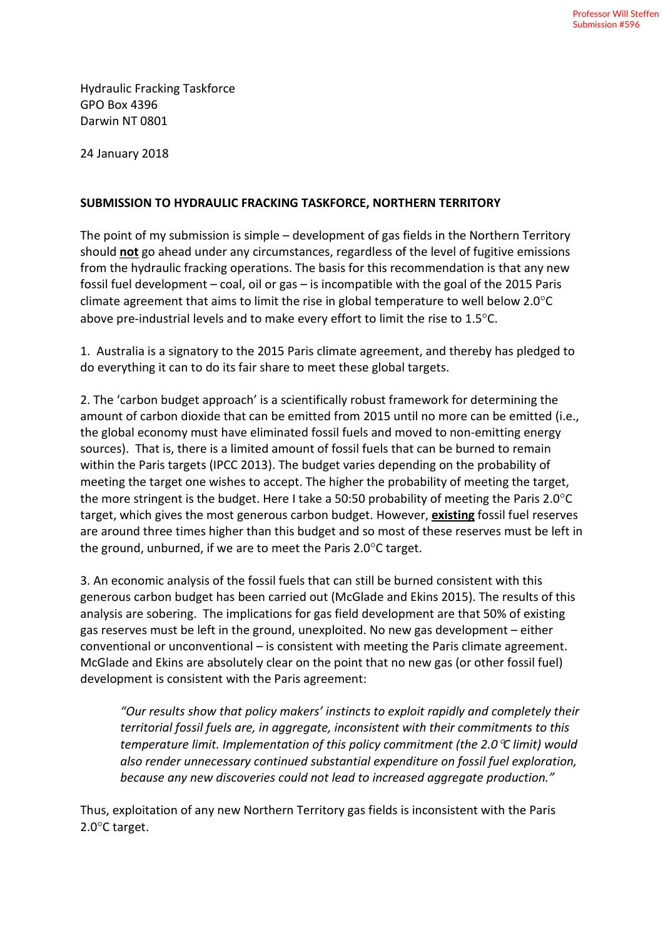Hydraulic Fracking Taskforce GPO Box 4396 Darwin NT 0801

24 January 2018

## **SUBMISSION TO HYDRAULIC FRACKING TASKFORCE, NORTHERN TERRITORY**

The point of my submission is simple – development of gas fields in the Northern Territory should **not** go ahead under any circumstances, regardless of the level of fugitive emissions from the hydraulic fracking operations. The basis for this recommendation is that any new fossil fuel development – coal, oil or gas – is incompatible with the goal of the 2015 Paris climate agreement that aims to limit the rise in global temperature to well below 2.0°C above pre-industrial levels and to make every effort to limit the rise to 1.5°C.

1. Australia is a signatory to the 2015 Paris climate agreement, and thereby has pledged to do everything it can to do its fair share to meet these global targets.

2. The 'carbon budget approach' is a scientifically robust framework for determining the amount of carbon dioxide that can be emitted from 2015 until no more can be emitted (i.e., the global economy must have eliminated fossil fuels and moved to non-emitting energy sources). That is, there is a limited amount of fossil fuels that can be burned to remain within the Paris targets (IPCC 2013). The budget varies depending on the probability of meeting the target one wishes to accept. The higher the probability of meeting the target, the more stringent is the budget. Here I take a 50:50 probability of meeting the Paris 2.0°C target, which gives the most generous carbon budget. However, **existing** fossil fuel reserves are around three times higher than this budget and so most of these reserves must be left in the ground, unburned, if we are to meet the Paris 2.0°C target.

3. An economic analysis of the fossil fuels that can still be burned consistent with this generous carbon budget has been carried out (McGlade and Ekins 2015). The results of this analysis are sobering. The implications for gas field development are that 50% of existing gas reserves must be left in the ground, unexploited. No new gas development – either conventional or unconventional – is consistent with meeting the Paris climate agreement. McGlade and Ekins are absolutely clear on the point that no new gas (or other fossil fuel) development is consistent with the Paris agreement:

*"Our results show that policy makers' instincts to exploit rapidly and completely their territorial fossil fuels are, in aggregate, inconsistent with their commitments to this temperature limit. Implementation of this policy commitment (the 2.0*°*C limit) would also render unnecessary continued substantial expenditure on fossil fuel exploration, because any new discoveries could not lead to increased aggregate production."* 

Thus, exploitation of any new Northern Territory gas fields is inconsistent with the Paris 2.0°C target.